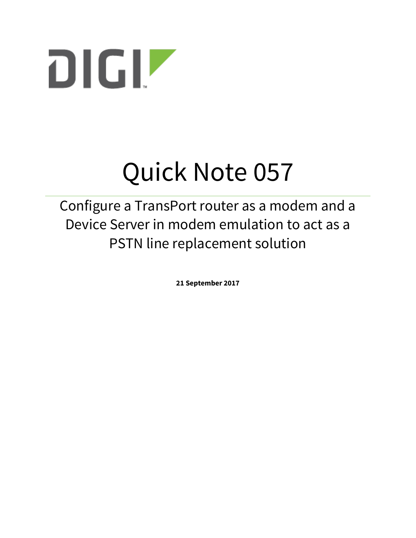

# Quick Note 057

Configure a TransPort router as a modem and a Device Server in modem emulation to act as a PSTN line replacement solution

**21 September 2017**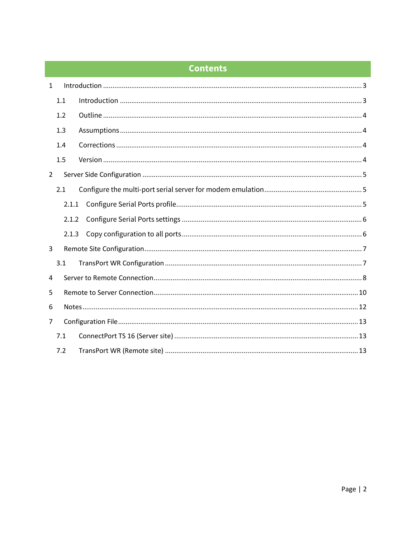# **Contents**

| $\mathbf{1}$   |       |  |
|----------------|-------|--|
|                | 1.1   |  |
|                | 1.2   |  |
|                | 1.3   |  |
|                | 1.4   |  |
|                | 1.5   |  |
| $\overline{2}$ |       |  |
|                | 2.1   |  |
|                | 2.1.1 |  |
|                | 2.1.2 |  |
|                |       |  |
| 3              |       |  |
|                | 3.1   |  |
| 4              |       |  |
| 5              |       |  |
| 6              |       |  |
| 7              |       |  |
|                | 7.1   |  |
|                | 7.2   |  |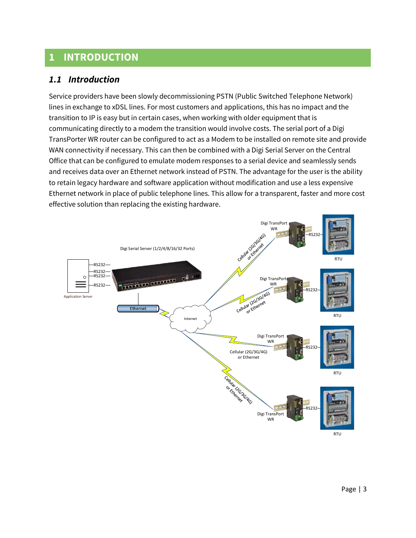# <span id="page-2-0"></span>**1 INTRODUCTION**

## <span id="page-2-1"></span>*1.1 Introduction*

Service providers have been slowly decommissioning PSTN (Public Switched Telephone Network) lines in exchange to xDSL lines. For most customers and applications, this has no impact and the transition to IP is easy but in certain cases, when working with older equipment that is communicating directly to a modem the transition would involve costs. The serial port of a Digi TransPorter WR router can be configured to act as a Modem to be installed on remote site and provide WAN connectivity if necessary. This can then be combined with a Digi Serial Server on the Central Office that can be configured to emulate modem responses to a serial device and seamlessly sends and receives data over an Ethernet network instead of PSTN. The advantage for the user is the ability to retain legacy hardware and software application without modification and use a less expensive Ethernet network in place of public telephone lines. This allow for a transparent, faster and more cost effective solution than replacing the existing hardware.

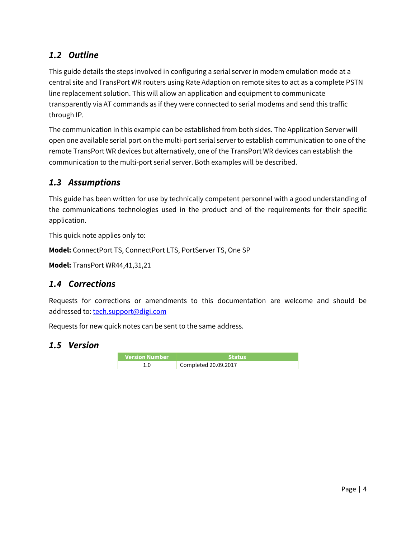## <span id="page-3-0"></span>*1.2 Outline*

This guide details the steps involved in configuring a serial server in modem emulation mode at a central site and TransPort WR routers using Rate Adaption on remote sites to act as a complete PSTN line replacement solution. This will allow an application and equipment to communicate transparently via AT commands as if they were connected to serial modems and send this traffic through IP.

The communication in this example can be established from both sides. The Application Server will open one available serial port on the multi-port serial server to establish communication to one of the remote TransPort WR devices but alternatively, one of the TransPort WR devices can establish the communication to the multi-port serial server. Both examples will be described.

## <span id="page-3-1"></span>*1.3 Assumptions*

This guide has been written for use by technically competent personnel with a good understanding of the communications technologies used in the product and of the requirements for their specific application.

This quick note applies only to:

**Model:** ConnectPort TS, ConnectPort LTS, PortServer TS, One SP

**Model:** TransPort WR44,41,31,21

## <span id="page-3-2"></span>*1.4 Corrections*

Requests for corrections or amendments to this documentation are welcome and should be addressed to: [tech.support@digi.com](mailto:tech.support@digi.com)

Requests for new quick notes can be sent to the same address.

#### <span id="page-3-3"></span>*1.5 Version*

| <b>Version Number</b> | Status               |  |  |  |
|-----------------------|----------------------|--|--|--|
|                       | Completed 20.09.2017 |  |  |  |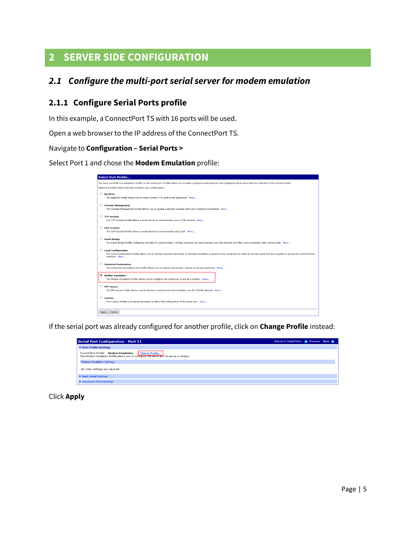# <span id="page-4-0"></span>**2 SERVER SIDE CONFIGURATION**

## <span id="page-4-1"></span>*2.1 Configure the multi-port serial server for modem emulation*

#### <span id="page-4-2"></span>**2.1.1 Configure Serial Ports profile**

In this example, a ConnectPort TS with 16 ports will be used.

Open a web browser to the IP address of the ConnectPort TS.

#### Navigate to **Configuration – Serial Ports >**

Select Port 1 and chose the **Modem Emulation** profile:

|                  | <b>Select Port Profile</b>                                                                                                                                                                                                                          |
|------------------|-----------------------------------------------------------------------------------------------------------------------------------------------------------------------------------------------------------------------------------------------------|
|                  | You have currently not assigned a profile to this serial port. Profiles allow you to easily configure serial ports by only displaying those items that are relevant to the current profile.                                                         |
|                  | Select the profile below that best matches your configuration.                                                                                                                                                                                      |
| $\circ$          | RealPort<br>The RealPort Profile allows you to map a COM or TTY port to the serial port. More                                                                                                                                                       |
| O                | <b>Console Management</b><br>The Console Management Profile allows you to access a device's console port over a network connection. More                                                                                                            |
| 0.               | <b>TCP Sockets</b><br>The TCP Sockets Profile allows a serial device to communicate over a TCP network. More                                                                                                                                        |
| $\circ$          | <b>UDP Sockets</b><br>The UDP Sockets Profile allows a serial device to communicate using UDP. More                                                                                                                                                 |
| О                | <b>Serial Bridge</b><br>The Serial Bridge Profile configures one side of a serial bridge. A bridge connects two serial devices over the network as if they were connected with a serial cable. More                                                 |
|                  | <b>Local Configuration</b><br>The Local Configuration Profile allows you to connect standard terminals or terminal emulation programs to the serial port in order to use the serial port as a console to access the command line<br>interface. More |
|                  | <b>Industrial Automation</b><br>The Industrial Automation (IA) Profile allows you to control and monitor various IA devices and PLCs. More                                                                                                          |
| $\circledbullet$ | <b>Modem Emulation</b><br>The Modem Emulation Profile allows you to configure the serial port to act as a modem. More                                                                                                                               |
| O                | <b>PPP Server</b><br>The PPP Server Profile allows a serial device to connect and communicate over the TCP/IP network. More                                                                                                                         |
| $\circ$          | Custom<br>The Custom Profile is an advanced option to allow full configuration of the serial port. More                                                                                                                                             |
| Apply            | Cancel                                                                                                                                                                                                                                              |

If the serial port was already configured for another profile, click on **Change Profile** instead:

| <b>Serial Port Configuration - Port 11</b>                                                                                                        | Return to Serial Ports ( Previous Next ( ) |
|---------------------------------------------------------------------------------------------------------------------------------------------------|--------------------------------------------|
| ▼ Port Profile Settings                                                                                                                           |                                            |
| Change Profile<br>Current Port Profile: Modem Emulation<br>The Modem Emulation Profile allows you to configure the serial port to act as a modem. |                                            |
| <b>Modem Emulation Settings</b>                                                                                                                   |                                            |
| No other settings are required.                                                                                                                   |                                            |
| Basic Serial Settings                                                                                                                             |                                            |
| Advanced Serial Settings                                                                                                                          |                                            |

#### Click **Apply**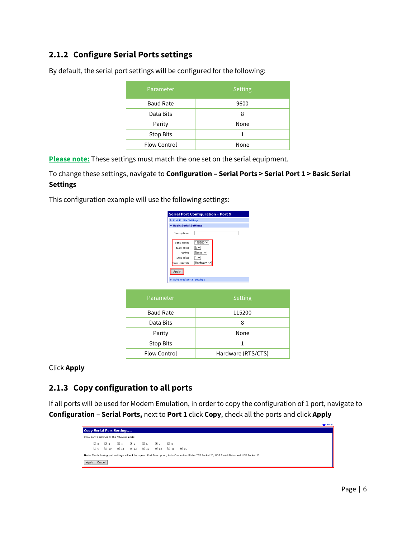## <span id="page-5-0"></span>**2.1.2 Configure Serial Ports settings**

| Parameter           | <b>Setting</b> |
|---------------------|----------------|
| <b>Baud Rate</b>    | 9600           |
| Data Bits           | 8              |
| Parity              | None           |
| Stop Bits           |                |
| <b>Flow Control</b> | None           |

By default, the serial port settings will be configured for the following:

**Please note:** These settings must match the one set on the serial equipment.

#### To change these settings, navigate to **Configuration – Serial Ports > Serial Port 1 > Basic Serial Settings**

This configuration example will use the following settings:

| Port Profile Settings                                                     | <b>Serial Port Configuration - Port 9</b>                             |
|---------------------------------------------------------------------------|-----------------------------------------------------------------------|
|                                                                           |                                                                       |
| <b>Basic Serial Settings</b><br>Description:                              |                                                                       |
| <b>Baud Rate:</b><br>Data Bits:<br>Parity:<br>Stop Bits:<br>Flow Control: | 115200 ₩<br>8 ∨<br>None<br>$\checkmark$<br>$\checkmark$<br>Hardware \ |
| Apply                                                                     |                                                                       |
| Advanced Serial Settings                                                  |                                                                       |

| Parameter        | Setting            |
|------------------|--------------------|
| <b>Baud Rate</b> | 115200             |
| Data Bits        | 8                  |
| Parity           | None               |
| <b>Stop Bits</b> |                    |
| Flow Control     | Hardware (RTS/CTS) |

Click **Apply**

## <span id="page-5-1"></span>**2.1.3 Copy configuration to all ports**

If all ports will be used for Modem Emulation, in order to copy the configuration of 1 port, navigate to **Configuration – Serial Ports,** next to **Port 1** click **Copy**, check all the ports and click **Apply**

|                 |            | Copy Serial Port Settings                    |                                                                                     |  |            |            |                                                                                                                                                   |  |  |  |
|-----------------|------------|----------------------------------------------|-------------------------------------------------------------------------------------|--|------------|------------|---------------------------------------------------------------------------------------------------------------------------------------------------|--|--|--|
|                 |            | Copy Port 1 settings to the following ports: |                                                                                     |  |            |            |                                                                                                                                                   |  |  |  |
| √⇒              | $\sqrt{3}$ |                                              | $\sqrt{4}$ $\sqrt{5}$ $\sqrt{6}$                                                    |  | $\sqrt{7}$ | $\sqrt{8}$ |                                                                                                                                                   |  |  |  |
| √ ∘             |            |                                              | $\sqrt{10}$ $\sqrt{11}$ $\sqrt{12}$ $\sqrt{13}$ $\sqrt{14}$ $\sqrt{15}$ $\sqrt{16}$ |  |            |            |                                                                                                                                                   |  |  |  |
|                 |            |                                              |                                                                                     |  |            |            | Note: The following port settings will not be copied: Port Description, Auto Connection State, TCP Socket ID, UDP Serial State, and UDP Socket ID |  |  |  |
| Cancel<br>Apply |            |                                              |                                                                                     |  |            |            |                                                                                                                                                   |  |  |  |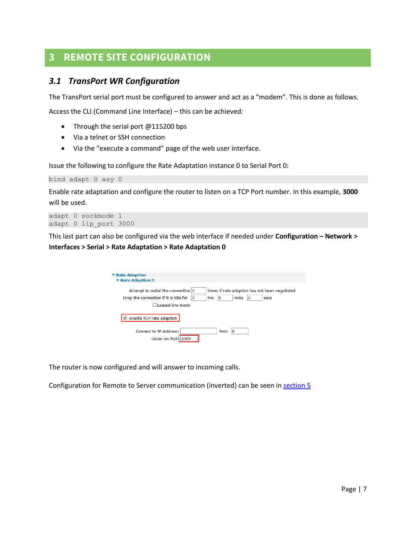# <span id="page-6-0"></span>**3 REMOTE SITE CONFIGURATION**

#### <span id="page-6-1"></span>*3.1 TransPort WR Configuration*

The TransPort serial port must be configured to answer and act as a "modem". This is done as follows.

Access the CLI (Command Line Interface) – this can be achieved:

- Through the serial port @115200 bps
- Via a telnet or SSH connection
- Via the "execute a command" page of the web user interface.

Issue the following to configure the Rate Adaptation instance 0 to Serial Port 0:

bind adapt 0 asy 0

Enable rate adaptation and configure the router to listen on a TCP Port number. In this example, **3000** will be used.

```
adapt 0 sockmode 1
adapt 0 lip_port 3000
```
This last part can also be configured via the web interface if needed under **Configuration – Network > Interfaces > Serial > Rate Adaptation > Rate Adaptation 0**

| ▼ Rate Adaption                                                                      |
|--------------------------------------------------------------------------------------|
| ▼ Rate Adaption 0                                                                    |
|                                                                                      |
| Attempt to redial the connection 0<br>times if rate adaption has not been negotiated |
| mins<br>Drop the connection if it is idle for<br>hrs<br>١o<br>l0<br>10<br>secs       |
| I eased line mode                                                                    |
| $\blacksquare$ Enable TCP rate adaption                                              |
| Connect to IP Address:<br>Port:<br>10                                                |
| Listen on Port: 3000                                                                 |

The router is now configured and will answer to incoming calls.

Configuration for Remote to Server communication (inverted) can be seen in [section 5](#page-9-0)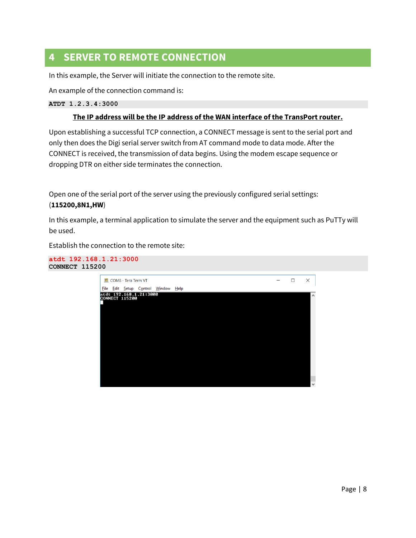# <span id="page-7-0"></span>**4 SERVER TO REMOTE CONNECTION**

In this example, the Server will initiate the connection to the remote site.

An example of the connection command is:

**ATDT 1.2.3.4:3000**

#### **The IP address will be the IP address of the WAN interface of the TransPort router.**

Upon establishing a successful TCP connection, a CONNECT message is sent to the serial port and only then does the Digi serial server switch from AT command mode to data mode. After the CONNECT is received, the transmission of data begins. Using the modem escape sequence or dropping DTR on either side terminates the connection.

Open one of the serial port of the server using the previously configured serial settings: (**115200,8N1,HW**)

In this example, a terminal application to simulate the server and the equipment such as PuTTy will be used.

Establish the connection to the remote site:



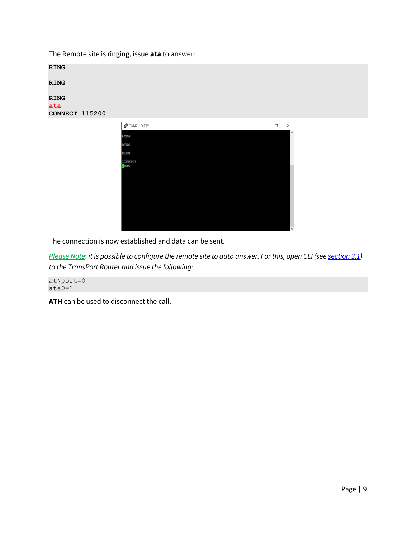The Remote site is ringing, issue **ata** to answer:

| <b>RING</b>    |                         |                                         |
|----------------|-------------------------|-----------------------------------------|
| <b>RING</b>    |                         |                                         |
| <b>RING</b>    |                         |                                         |
| ata            |                         |                                         |
| CONNECT 115200 |                         |                                         |
|                | $\bigcirc$ COM7 - PuTTY | $\Box$<br>$\times$<br>$\qquad \qquad -$ |
|                |                         |                                         |
|                | <b>RING</b>             | $\land$                                 |
|                | <b>RING</b>             |                                         |
|                | <b>RING</b>             |                                         |
|                | CONNECT<br>Test         |                                         |
|                |                         |                                         |
|                |                         |                                         |
|                |                         |                                         |
|                |                         |                                         |

The connection is now established and data can be sent.

*Please Note*: *it is possible to configure the remote site to auto answer. For this, open CLI (se[e section 3.1\)](#page-6-1) to the TransPort Router and issue the following:*

at\port=0  $ats0=1$ 

**ATH** can be used to disconnect the call.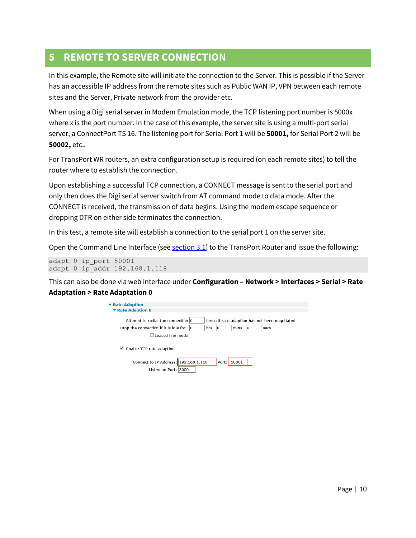## <span id="page-9-0"></span>**5 REMOTE TO SERVER CONNECTION**

In this example, the Remote site will initiate the connection to the Server. This is possible if the Server has an accessible IP address from the remote sites such as Public WAN IP, VPN between each remote sites and the Server, Private network from the provider etc.

When using a Digi serial server in Modem Emulation mode, the TCP listening port number is 5000x where x is the port number. In the case of this example, the server site is using a multi-port serial server, a ConnectPort TS 16. The listening port for Serial Port 1 will be **50001,** for Serial Port 2 will be **50002,** etc..

For TransPort WR routers, an extra configuration setup is required (on each remote sites) to tell the router where to establish the connection.

Upon establishing a successful TCP connection, a CONNECT message is sent to the serial port and only then does the Digi serial server switch from AT command mode to data mode. After the CONNECT is received, the transmission of data begins. Using the modem escape sequence or dropping DTR on either side terminates the connection.

In this test, a remote site will establish a connection to the serial port 1 on the server site.

Open the Command Line Interface (se[e section 3.1\)](#page-6-1) to the TransPort Router and issue the following:

adapt 0 ip\_port 50001 adapt 0 ip\_addr 192.168.1.118

This can also be done via web interface under **Configuration – Network > Interfaces > Serial > Rate Adaptation > Rate Adaptation 0** 

| ▼ Rate Adaption                                                                                 |    |     |       |       |    |                                                        |  |
|-------------------------------------------------------------------------------------------------|----|-----|-------|-------|----|--------------------------------------------------------|--|
| ▼ Rate Adaption 0                                                                               |    |     |       |       |    |                                                        |  |
| Attempt to redial the connection 0<br>Drop the connection if it is idle for<br>Leased line mode | ١O | hrs | 10    | mins  | 10 | times if rate adaption has not been negotiated<br>secs |  |
| $\Box$ Enable TCP rate adaption                                                                 |    |     |       |       |    |                                                        |  |
| Connect to IP Address: 192.168.1.118<br>Listen on Port: 3000                                    |    |     | Port: | 50001 |    |                                                        |  |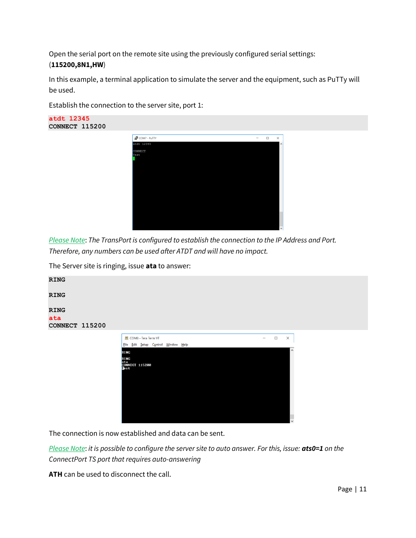Open the serial port on the remote site using the previously configured serial settings: (**115200,8N1,HW**)

In this example, a terminal application to simulate the server and the equipment, such as PuTTy will be used.

Establish the connection to the server site, port 1:



| COM7 - PuTTY   | - | $\Box$ | ×            |
|----------------|---|--------|--------------|
| atdt 12345     |   |        | $\land$      |
| <b>CONNECT</b> |   |        |              |
| Test           |   |        |              |
|                |   |        |              |
|                |   |        |              |
|                |   |        |              |
|                |   |        |              |
|                |   |        |              |
|                |   |        |              |
|                |   |        |              |
|                |   |        |              |
|                |   |        |              |
|                |   |        |              |
|                |   |        |              |
|                |   |        |              |
|                |   |        |              |
|                |   |        |              |
|                |   |        | $\checkmark$ |

*Please Note*: *The TransPort is configured to establish the connection to the IP Address and Port. Therefore, any numbers can be used after ATDT and will have no impact.*

The Server site is ringing, issue **ata** to answer:

| <b>RING</b>                          |                                                                                                    |                   |        |                     |  |
|--------------------------------------|----------------------------------------------------------------------------------------------------|-------------------|--------|---------------------|--|
| <b>RING</b>                          |                                                                                                    |                   |        |                     |  |
| <b>RING</b><br>ata<br>CONNECT 115200 |                                                                                                    |                   |        |                     |  |
|                                      | <b>M</b> COM8 - Tera Term VT<br>Eile Edit Setup Control Window Help<br><b>RING</b><br><b>DEALA</b> | $\qquad \qquad -$ | $\Box$ | $\times$<br>$\land$ |  |



The connection is now established and data can be sent.

*Please Note*: *it is possible to configure the server site to auto answer. For this, issue: ats0=1 on the ConnectPort TS port that requires auto-answering*

**ATH** can be used to disconnect the call.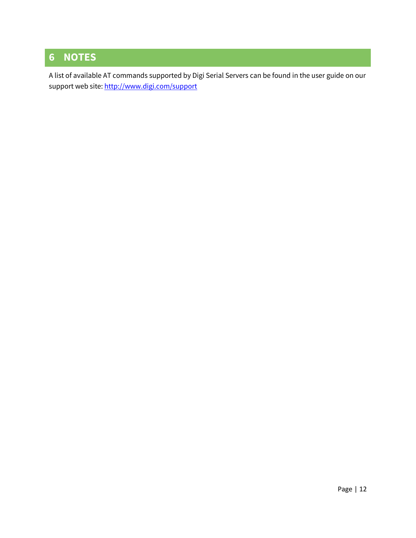# <span id="page-11-0"></span>**6 NOTES**

A list of available AT commands supported by Digi Serial Servers can be found in the user guide on our support web site[: http://www.digi.com/support](http://www.digi.com/support)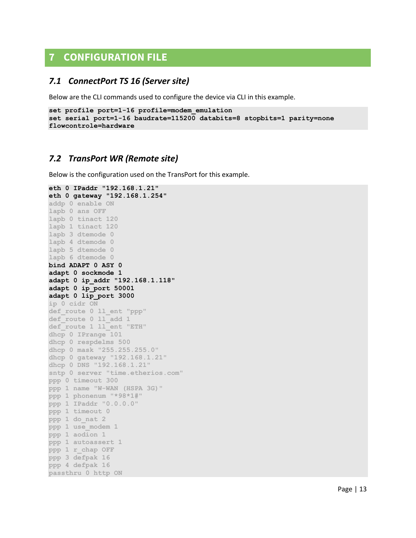# <span id="page-12-0"></span>**7 CONFIGURATION FILE**

#### <span id="page-12-1"></span>*7.1 ConnectPort TS 16 (Server site)*

Below are the CLI commands used to configure the device via CLI in this example.

```
set profile port=1-16 profile=modem_emulation
set serial port=1-16 baudrate=115200 databits=8 stopbits=1 parity=none 
flowcontrole=hardware
```
#### <span id="page-12-2"></span>*7.2 TransPort WR (Remote site)*

Below is the configuration used on the TransPort for this example.

```
eth 0 IPaddr "192.168.1.21"
eth 0 gateway "192.168.1.254"
addp 0 enable ON
lapb 0 ans OFF
lapb 0 tinact 120
lapb 1 tinact 120
lapb 3 dtemode 0
lapb 4 dtemode 0
lapb 5 dtemode 0
lapb 6 dtemode 0
bind ADAPT 0 ASY 0
adapt 0 sockmode 1
adapt 0 ip_addr "192.168.1.118"
adapt 0 ip_port 50001
adapt 0 lip_port 3000
ip 0 cidr ON
def_route 0 ll_ent "ppp"
def_route 0 ll_add 1
def_route 1 ll_ent "ETH"
dhcp 0 IPrange 101
dhcp 0 respdelms 500
dhcp 0 mask "255.255.255.0"
dhcp 0 gateway "192.168.1.21"
dhcp 0 DNS "192.168.1.21"
sntp 0 server "time.etherios.com"
ppp 0 timeout 300
ppp 1 name "W-WAN (HSPA 3G)"
ppp 1 phonenum "*98*1#"
ppp 1 IPaddr "0.0.0.0"
ppp 1 timeout 0
ppp 1 do_nat 2
ppp 1 use_modem 1
ppp 1 aodion 1
ppp 1 autoassert 1
ppp 1 r_chap OFF
ppp 3 defpak 16
ppp 4 defpak 16
passthru 0 http ON
```